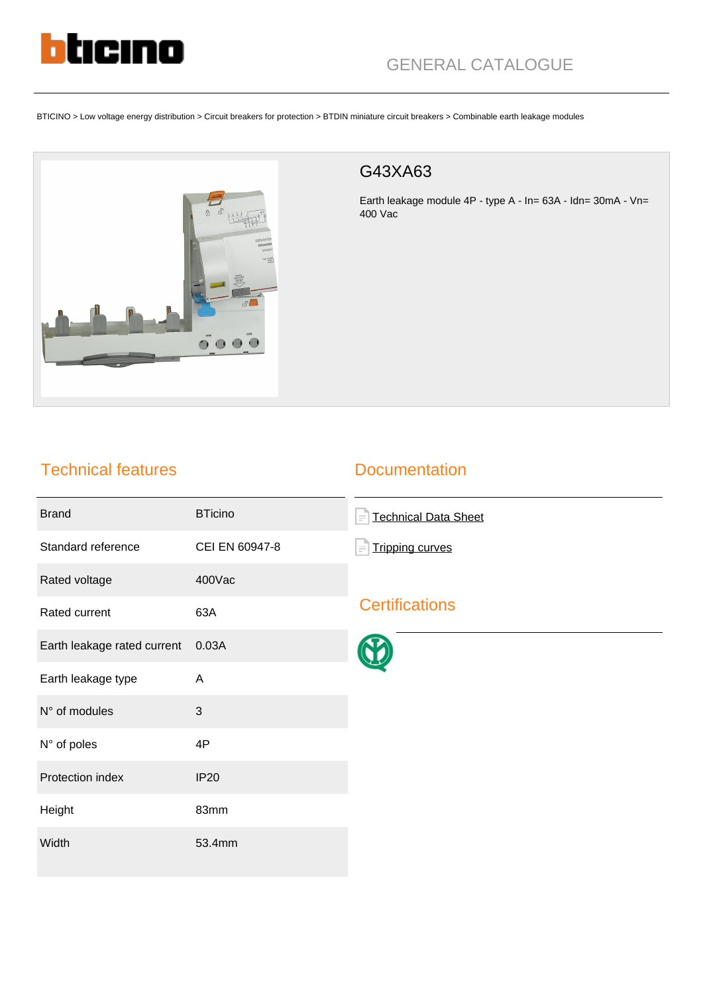

# GENERAL CATALOGUE

BTICINO > Low voltage energy distribution > Circuit breakers for protection > BTDIN miniature circuit breakers > Combinable earth leakage modules



#### G43XA63

Earth leakage module 4P - type A - In= 63A - Idn= 30mA - Vn= 400 Vac

### Technical features

#### **Documentation**

| <b>Brand</b>                | <b>BTicino</b> | <b>Technical Data Sheet</b><br>F   |
|-----------------------------|----------------|------------------------------------|
| Standard reference          | CEI EN 60947-8 | <b>Tripping curves</b><br>$\equiv$ |
| Rated voltage               | 400Vac         |                                    |
| Rated current               | 63A            | <b>Certifications</b>              |
| Earth leakage rated current | 0.03A          |                                    |
| Earth leakage type          | A              |                                    |
| N° of modules               | 3              |                                    |
| N° of poles                 | 4P             |                                    |
| Protection index            | <b>IP20</b>    |                                    |
| Height                      | 83mm           |                                    |
| Width                       | 53.4mm         |                                    |